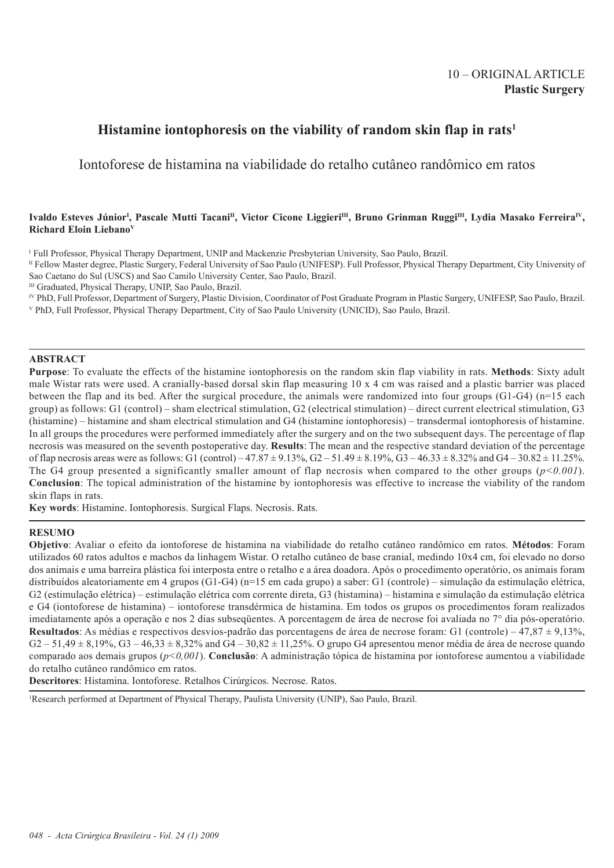## 10 – ORIGINAL ARTICLE **Plastic Surgery**

# **Histamine iontophoresis on the viability of random skin flap in rats1**

Iontoforese de histamina na viabilidade do retalho cutâneo randômico em ratos

## Ivaldo Esteves Júnior<sup>i</sup>, Pascale Mutti Tacani<sup>n</sup>, Victor Cicone Liggieri<sup>m</sup>, Bruno Grinman Ruggi<sup>m</sup>, Lydia Masako Ferreira<sup>iv</sup>, **Richard Eloin LiebanoV**

I Full Professor, Physical Therapy Department, UNIP and Mackenzie Presbyterian University, Sao Paulo, Brazil.

II Fellow Master degree, Plastic Surgery, Federal University of Sao Paulo (UNIFESP). Full Professor, Physical Therapy Department, City University of Sao Caetano do Sul (USCS) and Sao Camilo University Center, Sao Paulo, Brazil.

III Graduated, Physical Therapy, UNIP, Sao Paulo, Brazil.

<sup>IV</sup> PhD, Full Professor, Department of Surgery, Plastic Division, Coordinator of Post Graduate Program in Plastic Surgery, UNIFESP, Sao Paulo, Brazil.

V PhD, Full Professor, Physical Therapy Department, City of Sao Paulo University (UNICID), Sao Paulo, Brazil.

## **ABSTRACT**

**Purpose**: To evaluate the effects of the histamine iontophoresis on the random skin flap viability in rats. **Methods**: Sixty adult male Wistar rats were used. A cranially-based dorsal skin flap measuring 10 x 4 cm was raised and a plastic barrier was placed between the flap and its bed. After the surgical procedure, the animals were randomized into four groups (G1-G4) (n=15 each group) as follows: G1 (control) – sham electrical stimulation, G2 (electrical stimulation) – direct current electrical stimulation, G3 (histamine) – histamine and sham electrical stimulation and G4 (histamine iontophoresis) – transdermal iontophoresis of histamine. In all groups the procedures were performed immediately after the surgery and on the two subsequent days. The percentage of flap necrosis was measured on the seventh postoperative day. **Results**: The mean and the respective standard deviation of the percentage of flap necrosis areas were as follows: G1 (control) – 47.87  $\pm$  9.13%, G2 – 51.49  $\pm$  8.19%, G3 – 46.33  $\pm$  8.32% and G4 – 30.82  $\pm$  11.25%. The G4 group presented a significantly smaller amount of flap necrosis when compared to the other groups (*p<0.001*). **Conclusion**: The topical administration of the histamine by iontophoresis was effective to increase the viability of the random skin flaps in rats.

**Key words**: Histamine. Iontophoresis. Surgical Flaps. Necrosis. Rats.

### **RESUMO**

**Objetivo**: Avaliar o efeito da iontoforese de histamina na viabilidade do retalho cutâneo randômico em ratos. **Métodos**: Foram utilizados 60 ratos adultos e machos da linhagem Wistar. O retalho cutâneo de base cranial, medindo 10x4 cm, foi elevado no dorso dos animais e uma barreira plástica foi interposta entre o retalho e a área doadora. Após o procedimento operatório, os animais foram distribuídos aleatoriamente em 4 grupos (G1-G4) (n=15 em cada grupo) a saber: G1 (controle) – simulação da estimulação elétrica, G2 (estimulação elétrica) – estimulação elétrica com corrente direta, G3 (histamina) – histamina e simulação da estimulação elétrica e G4 (iontoforese de histamina) – iontoforese transdérmica de histamina. Em todos os grupos os procedimentos foram realizados imediatamente após a operação e nos 2 dias subseqüentes. A porcentagem de área de necrose foi avaliada no 7° dia pós-operatório. **Resultados**: As médias e respectivos desvios-padrão das porcentagens de área de necrose foram: G1 (controle) – 47,87 ± 9,13%,  $G2 - 51,49 \pm 8,19\%$ ,  $G3 - 46,33 \pm 8,32\%$  and  $G4 - 30,82 \pm 11,25\%$ . O grupo G4 apresentou menor média de área de necrose quando comparado aos demais grupos (*p<0,001*). **Conclusão**: A administração tópica de histamina por iontoforese aumentou a viabilidade do retalho cutâneo randômico em ratos.

**Descritores**: Histamina. Iontoforese. Retalhos Cirúrgicos. Necrose. Ratos.

1 Research performed at Department of Physical Therapy, Paulista University (UNIP), Sao Paulo, Brazil.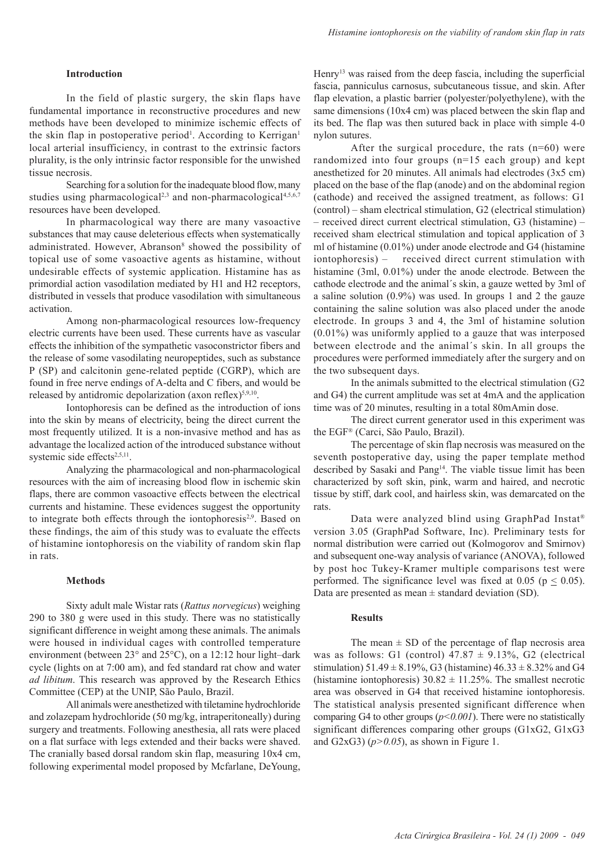#### **Introduction**

In the field of plastic surgery, the skin flaps have fundamental importance in reconstructive procedures and new methods have been developed to minimize ischemic effects of the skin flap in postoperative period<sup>1</sup>. According to Kerrigan<sup>1</sup> local arterial insufficiency, in contrast to the extrinsic factors plurality, is the only intrinsic factor responsible for the unwished tissue necrosis.

Searching for a solution for the inadequate blood flow, many studies using pharmacological<sup>2,3</sup> and non-pharmacological<sup>4,5,6,7</sup> resources have been developed.

In pharmacological way there are many vasoactive substances that may cause deleterious effects when systematically administrated. However, Abranson<sup>8</sup> showed the possibility of topical use of some vasoactive agents as histamine, without undesirable effects of systemic application. Histamine has as primordial action vasodilation mediated by H1 and H2 receptors, distributed in vessels that produce vasodilation with simultaneous activation.

Among non-pharmacological resources low-frequency electric currents have been used. These currents have as vascular effects the inhibition of the sympathetic vasoconstrictor fibers and the release of some vasodilating neuropeptides, such as substance P (SP) and calcitonin gene-related peptide (CGRP), which are found in free nerve endings of A-delta and C fibers, and would be released by antidromic depolarization (axon reflex)<sup>5,9,10</sup>.

Iontophoresis can be defined as the introduction of ions into the skin by means of electricity, being the direct current the most frequently utilized. It is a non-invasive method and has as advantage the localized action of the introduced substance without systemic side effects<sup>2,5,11</sup>.

Analyzing the pharmacological and non-pharmacological resources with the aim of increasing blood flow in ischemic skin flaps, there are common vasoactive effects between the electrical currents and histamine. These evidences suggest the opportunity to integrate both effects through the iontophoresis<sup>2,9</sup>. Based on these findings, the aim of this study was to evaluate the effects of histamine iontophoresis on the viability of random skin flap in rats.

#### **Methods**

Sixty adult male Wistar rats (*Rattus norvegicus*) weighing 290 to 380 g were used in this study. There was no statistically significant difference in weight among these animals. The animals were housed in individual cages with controlled temperature environment (between 23° and 25°C), on a 12:12 hour light–dark cycle (lights on at 7:00 am), and fed standard rat chow and water *ad libitum*. This research was approved by the Research Ethics Committee (CEP) at the UNIP, São Paulo, Brazil.

All animals were anesthetized with tiletamine hydrochloride and zolazepam hydrochloride (50 mg/kg, intraperitoneally) during surgery and treatments. Following anesthesia, all rats were placed on a flat surface with legs extended and their backs were shaved. The cranially based dorsal random skin flap, measuring 10x4 cm, following experimental model proposed by Mcfarlane, DeYoung,

Henry<sup>13</sup> was raised from the deep fascia, including the superficial fascia, panniculus carnosus, subcutaneous tissue, and skin. After flap elevation, a plastic barrier (polyester/polyethylene), with the same dimensions (10x4 cm) was placed between the skin flap and its bed. The flap was then sutured back in place with simple 4-0 nylon sutures.

After the surgical procedure, the rats  $(n=60)$  were randomized into four groups (n=15 each group) and kept anesthetized for 20 minutes. All animals had electrodes (3x5 cm) placed on the base of the flap (anode) and on the abdominal region (cathode) and received the assigned treatment, as follows: G1 (control) – sham electrical stimulation, G2 (electrical stimulation) – received direct current electrical stimulation, G3 (histamine) – received sham electrical stimulation and topical application of 3 ml of histamine (0.01%) under anode electrode and G4 (histamine iontophoresis) – received direct current stimulation with histamine (3ml, 0.01%) under the anode electrode. Between the cathode electrode and the animal´s skin, a gauze wetted by 3ml of a saline solution (0.9%) was used. In groups 1 and 2 the gauze containing the saline solution was also placed under the anode electrode. In groups 3 and 4, the 3ml of histamine solution (0.01%) was uniformly applied to a gauze that was interposed between electrode and the animal´s skin. In all groups the procedures were performed immediately after the surgery and on the two subsequent days.

In the animals submitted to the electrical stimulation (G2 and G4) the current amplitude was set at 4mA and the application time was of 20 minutes, resulting in a total 80mAmin dose.

The direct current generator used in this experiment was the EGF® (Carci, São Paulo, Brazil).

The percentage of skin flap necrosis was measured on the seventh postoperative day, using the paper template method described by Sasaki and Pang<sup>14</sup>. The viable tissue limit has been characterized by soft skin, pink, warm and haired, and necrotic tissue by stiff, dark cool, and hairless skin, was demarcated on the rats.

Data were analyzed blind using GraphPad Instat® version 3.05 (GraphPad Software, Inc). Preliminary tests for normal distribution were carried out (Kolmogorov and Smirnov) and subsequent one-way analysis of variance (ANOVA), followed by post hoc Tukey-Kramer multiple comparisons test were performed. The significance level was fixed at 0.05 ( $p \le 0.05$ ). Data are presented as mean  $\pm$  standard deviation (SD).

#### **Results**

The mean  $\pm$  SD of the percentage of flap necrosis area was as follows: G1 (control)  $47.87 \pm 9.13\%$ , G2 (electrical stimulation)  $51.49 \pm 8.19\%$ , G3 (histamine)  $46.33 \pm 8.32\%$  and G4 (histamine iontophoresis)  $30.82 \pm 11.25\%$ . The smallest necrotic area was observed in G4 that received histamine iontophoresis. The statistical analysis presented significant difference when comparing G4 to other groups  $(p<0.001)$ . There were no statistically significant differences comparing other groups (G1xG2, G1xG3 and  $G2xG3$  ( $p>0.05$ ), as shown in Figure 1.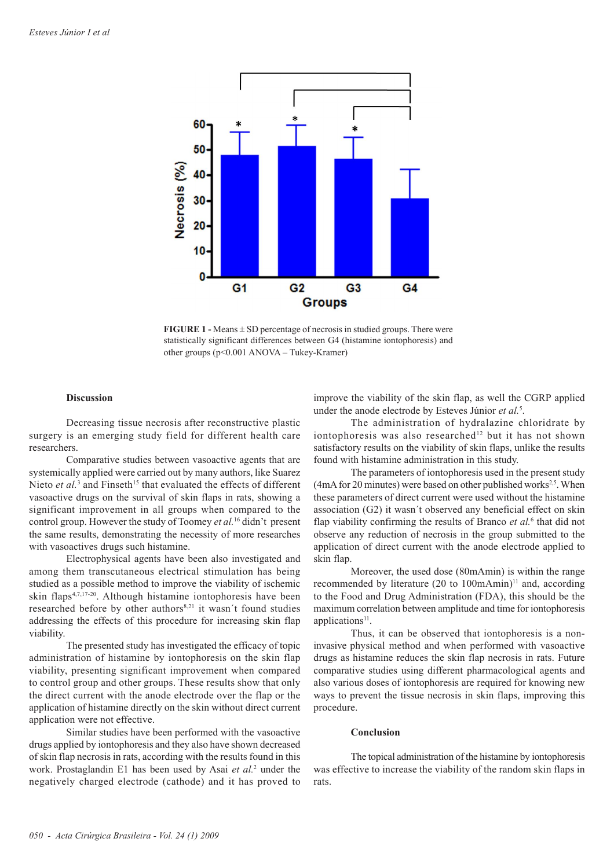

**FIGURE 1 -** Means ± SD percentage of necrosis in studied groups. There were statistically significant differences between G4 (histamine iontophoresis) and other groups (p<0.001 ANOVA – Tukey-Kramer)

#### **Discussion**

Decreasing tissue necrosis after reconstructive plastic surgery is an emerging study field for different health care researchers.

Comparative studies between vasoactive agents that are systemically applied were carried out by many authors, like Suarez Nieto *et al.*<sup>3</sup> and Finseth<sup>15</sup> that evaluated the effects of different vasoactive drugs on the survival of skin flaps in rats, showing a significant improvement in all groups when compared to the control group. However the study of Toomey *et al.*16 didn't present the same results, demonstrating the necessity of more researches with vasoactives drugs such histamine.

Electrophysical agents have been also investigated and among them transcutaneous electrical stimulation has being studied as a possible method to improve the viability of ischemic skin flaps<sup>4,7,17-20</sup>. Although histamine iontophoresis have been researched before by other authors<sup>8,21</sup> it wasn't found studies addressing the effects of this procedure for increasing skin flap viability.

The presented study has investigated the efficacy of topic administration of histamine by iontophoresis on the skin flap viability, presenting significant improvement when compared to control group and other groups. These results show that only the direct current with the anode electrode over the flap or the application of histamine directly on the skin without direct current application were not effective.

Similar studies have been performed with the vasoactive drugs applied by iontophoresis and they also have shown decreased of skin flap necrosis in rats, according with the results found in this work. Prostaglandin E1 has been used by Asai *et al.*<sup>2</sup> under the negatively charged electrode (cathode) and it has proved to

improve the viability of the skin flap, as well the CGRP applied under the anode electrode by Esteves Júnior *et al.*<sup>5</sup> .

The administration of hydralazine chloridrate by iontophoresis was also researched<sup>12</sup> but it has not shown satisfactory results on the viability of skin flaps, unlike the results found with histamine administration in this study.

The parameters of iontophoresis used in the present study  $(4mA for 20 minutes)$  were based on other published works<sup>2,5</sup>. When these parameters of direct current were used without the histamine association (G2) it wasn´t observed any beneficial effect on skin flap viability confirming the results of Branco et al.<sup>6</sup> that did not observe any reduction of necrosis in the group submitted to the application of direct current with the anode electrode applied to skin flap.

Moreover, the used dose (80mAmin) is within the range recommended by literature  $(20 \text{ to } 100 \text{mAmin})^{11}$  and, according to the Food and Drug Administration (FDA), this should be the maximum correlation between amplitude and time for iontophoresis applications $11$ .

Thus, it can be observed that iontophoresis is a noninvasive physical method and when performed with vasoactive drugs as histamine reduces the skin flap necrosis in rats. Future comparative studies using different pharmacological agents and also various doses of iontophoresis are required for knowing new ways to prevent the tissue necrosis in skin flaps, improving this procedure.

#### **Conclusion**

The topical administration of the histamine by iontophoresis was effective to increase the viability of the random skin flaps in rats.